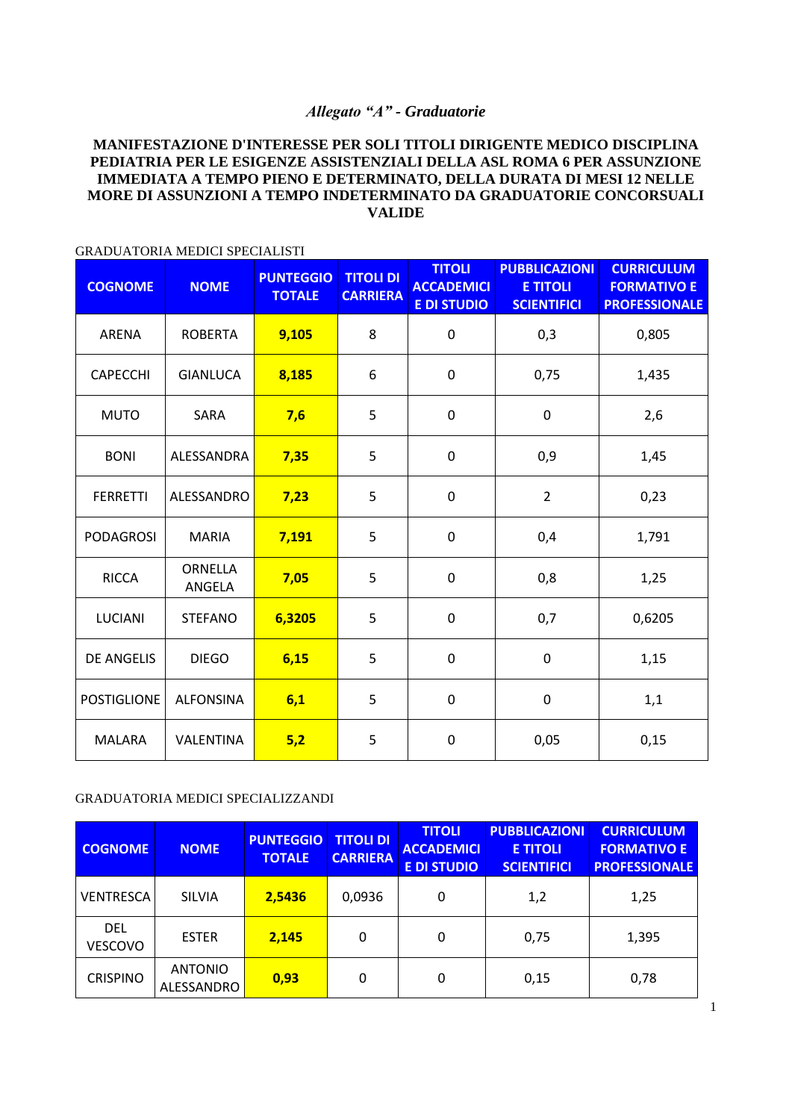## *Allegato "A" - Graduatorie*

## **MANIFESTAZIONE D'INTERESSE PER SOLI TITOLI DIRIGENTE MEDICO DISCIPLINA PEDIATRIA PER LE ESIGENZE ASSISTENZIALI DELLA ASL ROMA 6 PER ASSUNZIONE IMMEDIATA A TEMPO PIENO E DETERMINATO, DELLA DURATA DI MESI 12 NELLE MORE DI ASSUNZIONI A TEMPO INDETERMINATO DA GRADUATORIE CONCORSUALI VALIDE**

| <b>COGNOME</b>     | <b>NOME</b>       | <b>PUNTEGGIO</b><br><b>TOTALE</b> | <b>TITOLI DI</b><br><b>CARRIERA</b> | <b>TITOLI</b><br><b>ACCADEMICI</b><br><b>E DI STUDIO</b> | <b>PUBBLICAZIONI</b><br><b>E TITOLI</b><br><b>SCIENTIFICI</b> | <b>CURRICULUM</b><br><b>FORMATIVO E</b><br><b>PROFESSIONALE</b> |
|--------------------|-------------------|-----------------------------------|-------------------------------------|----------------------------------------------------------|---------------------------------------------------------------|-----------------------------------------------------------------|
| ARENA              | <b>ROBERTA</b>    | 9,105                             | 8                                   | $\boldsymbol{0}$                                         | 0,3                                                           | 0,805                                                           |
| <b>CAPECCHI</b>    | <b>GIANLUCA</b>   | 8,185                             | 6                                   | $\mathbf 0$                                              | 0,75                                                          | 1,435                                                           |
| <b>MUTO</b>        | SARA              | 7,6                               | 5                                   | 0                                                        | 0                                                             | 2,6                                                             |
| <b>BONI</b>        | ALESSANDRA        | 7,35                              | 5                                   | $\mathbf 0$                                              | 0,9                                                           | 1,45                                                            |
| <b>FERRETTI</b>    | ALESSANDRO        | 7,23                              | 5                                   | 0                                                        | $\overline{2}$                                                | 0,23                                                            |
| <b>PODAGROSI</b>   | <b>MARIA</b>      | 7,191                             | 5                                   | $\mathbf 0$                                              | 0,4                                                           | 1,791                                                           |
| <b>RICCA</b>       | ORNELLA<br>ANGELA | 7,05                              | 5                                   | $\mathbf 0$                                              | 0,8                                                           | 1,25                                                            |
| <b>LUCIANI</b>     | <b>STEFANO</b>    | 6,3205                            | 5                                   | $\mathbf 0$                                              | 0,7                                                           | 0,6205                                                          |
| <b>DE ANGELIS</b>  | <b>DIEGO</b>      | 6,15                              | 5                                   | $\boldsymbol{0}$                                         | $\mathbf 0$                                                   | 1,15                                                            |
| <b>POSTIGLIONE</b> | <b>ALFONSINA</b>  | 6,1                               | 5                                   | $\mathbf 0$                                              | 0                                                             | 1,1                                                             |
| <b>MALARA</b>      | VALENTINA         | 5,2                               | 5                                   | $\boldsymbol{0}$                                         | 0,05                                                          | 0,15                                                            |

## GRADUATORIA MEDICI SPECIALISTI

## GRADUATORIA MEDICI SPECIALIZZANDI

| <b>COGNOME</b>               | <b>NOME</b>                  | <b>PUNTEGGIO</b><br><b>TOTALE</b> | <b>TITOLI DI</b><br><b>CARRIERA</b> | <b>TITOLI</b><br><b>ACCADEMICI</b><br><b>E DI STUDIO</b> | <b>PUBBLICAZIONI</b><br><b>E TITOLI</b><br><b>SCIENTIFICI</b> | <b>CURRICULUM</b><br><b>FORMATIVO E</b><br><b>PROFESSIONALE</b> |
|------------------------------|------------------------------|-----------------------------------|-------------------------------------|----------------------------------------------------------|---------------------------------------------------------------|-----------------------------------------------------------------|
| <b>VENTRESCA</b>             | <b>SILVIA</b>                | 2,5436                            | 0,0936                              | 0                                                        | 1,2                                                           | 1,25                                                            |
| <b>DEL</b><br><b>VESCOVO</b> | <b>ESTER</b>                 | 2,145                             | 0                                   | 0                                                        | 0,75                                                          | 1,395                                                           |
| <b>CRISPINO</b>              | <b>ANTONIO</b><br>ALESSANDRO | 0,93                              | 0                                   | 0                                                        | 0,15                                                          | 0,78                                                            |